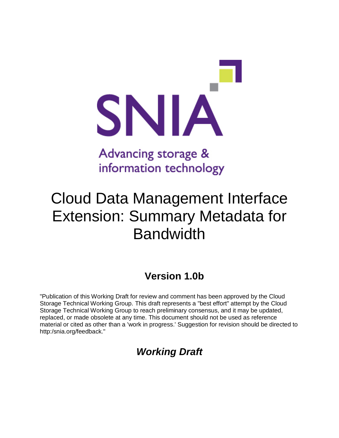

# information technology

## Cloud Data Management Interface Extension: Summary Metadata for Bandwidth

## **Version 1.0b**

"Publication of this Working Draft for review and comment has been approved by the Cloud Storage Technical Working Group. This draft represents a "best effort" attempt by the Cloud Storage Technical Working Group to reach preliminary consensus, and it may be updated, replaced, or made obsolete at any time. This document should not be used as reference material or cited as other than a 'work in progress.' Suggestion for revision should be directed to http:/snia.org/feedback."

## *Working Draft*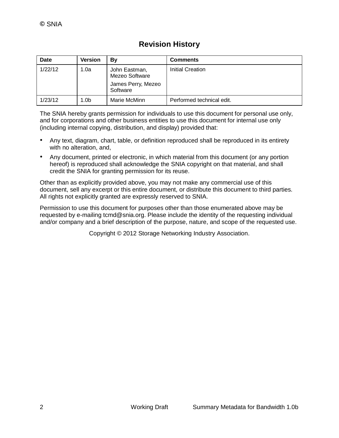#### **Revision History**

| Date    | <b>Version</b>   | Bv                                                                | <b>Comments</b>           |
|---------|------------------|-------------------------------------------------------------------|---------------------------|
| 1/22/12 | 1.0a             | John Eastman,<br>Mezeo Software<br>James Perry, Mezeo<br>Software | Initial Creation          |
| 1/23/12 | 1.0 <sub>b</sub> | Marie McMinn                                                      | Performed technical edit. |

The SNIA hereby grants permission for individuals to use this document for personal use only, and for corporations and other business entities to use this document for internal use only (including internal copying, distribution, and display) provided that:

- Any text, diagram, chart, table, or definition reproduced shall be reproduced in its entirety with no alteration, and,
- Any document, printed or electronic, in which material from this document (or any portion hereof) is reproduced shall acknowledge the SNIA copyright on that material, and shall credit the SNIA for granting permission for its reuse.

Other than as explicitly provided above, you may not make any commercial use of this document, sell any excerpt or this entire document, or distribute this document to third parties. All rights not explicitly granted are expressly reserved to SNIA.

Permission to use this document for purposes other than those enumerated above may be requested by e-mailing tcmd@snia.org. Please include the identity of the requesting individual and/or company and a brief description of the purpose, nature, and scope of the requested use.

Copyright © 2012 Storage Networking Industry Association.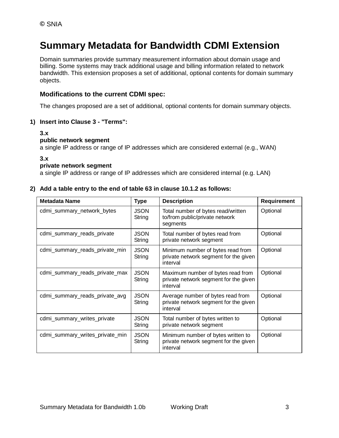### **Summary Metadata for Bandwidth CDMI Extension**

Domain summaries provide summary measurement information about domain usage and billing. Some systems may track additional usage and billing information related to network bandwidth. This extension proposes a set of additional, optional contents for domain summary objects.

#### **Modifications to the current CDMI spec:**

The changes proposed are a set of additional, optional contents for domain summary objects.

#### **1) Insert into Clause 3 - "Terms":**

#### **3.x**

#### **public network segment**

a single IP address or range of IP addresses which are considered external (e.g., WAN)

#### **3.x**

#### **private network segment**

a single IP address or range of IP addresses which are considered internal (e.g. LAN)

#### **2) Add a table entry to the end of table 63 in clause 10.1.2 as follows:**

| <b>Metadata Name</b>            | <b>Type</b>           | <b>Description</b>                                                                      | Requirement |
|---------------------------------|-----------------------|-----------------------------------------------------------------------------------------|-------------|
| cdmi_summary_network_bytes      | <b>JSON</b><br>String | Total number of bytes read/written<br>to/from public/private network<br>segments        | Optional    |
| cdmi_summary_reads_private      | <b>JSON</b><br>String | Total number of bytes read from<br>private network segment                              | Optional    |
| cdmi_summary_reads_private_min  | <b>JSON</b><br>String | Minimum number of bytes read from<br>private network segment for the given<br>interval  | Optional    |
| cdmi_summary_reads_private_max  | <b>JSON</b><br>String | Maximum number of bytes read from<br>private network segment for the given<br>interval  | Optional    |
| cdmi_summary_reads_private_avg  | <b>JSON</b><br>String | Average number of bytes read from<br>private network segment for the given<br>interval  | Optional    |
| cdmi_summary_writes_private     | <b>JSON</b><br>String | Total number of bytes written to<br>private network segment                             | Optional    |
| cdmi_summary_writes_private_min | <b>JSON</b><br>String | Minimum number of bytes written to<br>private network segment for the given<br>interval | Optional    |